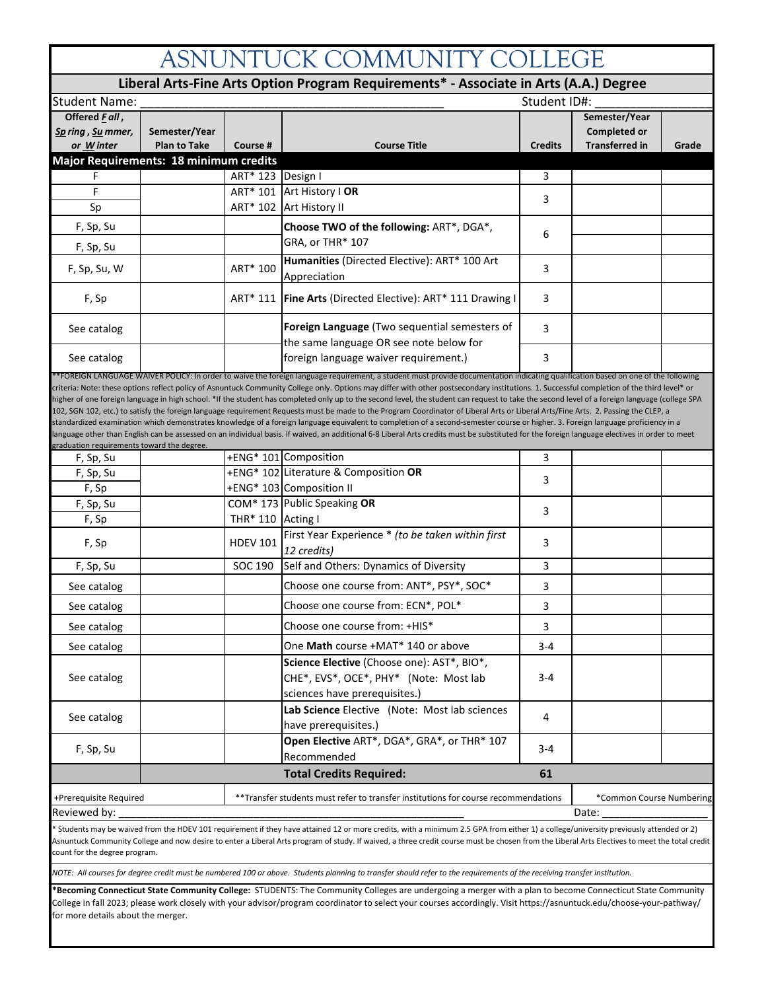## ASNUNTUCK COMMUNITY COLLEGE

| Liberal Arts-Fine Arts Option Program Requirements* - Associate in Arts (A.A.) Degree |                                      |                                                                                    |                                                                                                                                                                                                                                                                                                                                                                                                                                                                                                                                                                                                                                                                                                                                                                                                                                                                                                                                                                                                                                                                                                                                                             |                |                                                        |       |  |  |
|---------------------------------------------------------------------------------------|--------------------------------------|------------------------------------------------------------------------------------|-------------------------------------------------------------------------------------------------------------------------------------------------------------------------------------------------------------------------------------------------------------------------------------------------------------------------------------------------------------------------------------------------------------------------------------------------------------------------------------------------------------------------------------------------------------------------------------------------------------------------------------------------------------------------------------------------------------------------------------------------------------------------------------------------------------------------------------------------------------------------------------------------------------------------------------------------------------------------------------------------------------------------------------------------------------------------------------------------------------------------------------------------------------|----------------|--------------------------------------------------------|-------|--|--|
| <b>Student Name:</b>                                                                  | Student ID#:                         |                                                                                    |                                                                                                                                                                                                                                                                                                                                                                                                                                                                                                                                                                                                                                                                                                                                                                                                                                                                                                                                                                                                                                                                                                                                                             |                |                                                        |       |  |  |
| Offered Fall,<br>Sp ring, Su mmer,<br>or Winter                                       | Semester/Year<br><b>Plan to Take</b> | Course #                                                                           | <b>Course Title</b>                                                                                                                                                                                                                                                                                                                                                                                                                                                                                                                                                                                                                                                                                                                                                                                                                                                                                                                                                                                                                                                                                                                                         | <b>Credits</b> | Semester/Year<br>Completed or<br><b>Transferred in</b> | Grade |  |  |
| Major Requirements: 18 minimum credits                                                |                                      |                                                                                    |                                                                                                                                                                                                                                                                                                                                                                                                                                                                                                                                                                                                                                                                                                                                                                                                                                                                                                                                                                                                                                                                                                                                                             |                |                                                        |       |  |  |
| F                                                                                     |                                      | ART* 123 Design I                                                                  |                                                                                                                                                                                                                                                                                                                                                                                                                                                                                                                                                                                                                                                                                                                                                                                                                                                                                                                                                                                                                                                                                                                                                             | 3              |                                                        |       |  |  |
| F                                                                                     |                                      |                                                                                    | ART* 101 Art History   OR                                                                                                                                                                                                                                                                                                                                                                                                                                                                                                                                                                                                                                                                                                                                                                                                                                                                                                                                                                                                                                                                                                                                   | 3              |                                                        |       |  |  |
| Sp                                                                                    |                                      |                                                                                    | ART* 102 Art History II                                                                                                                                                                                                                                                                                                                                                                                                                                                                                                                                                                                                                                                                                                                                                                                                                                                                                                                                                                                                                                                                                                                                     |                |                                                        |       |  |  |
| F, Sp, Su                                                                             |                                      |                                                                                    | Choose TWO of the following: ART*, DGA*,                                                                                                                                                                                                                                                                                                                                                                                                                                                                                                                                                                                                                                                                                                                                                                                                                                                                                                                                                                                                                                                                                                                    | 6              |                                                        |       |  |  |
| F, Sp, Su                                                                             |                                      |                                                                                    | GRA, or THR* 107                                                                                                                                                                                                                                                                                                                                                                                                                                                                                                                                                                                                                                                                                                                                                                                                                                                                                                                                                                                                                                                                                                                                            |                |                                                        |       |  |  |
| F, Sp, Su, W                                                                          |                                      | ART* 100                                                                           | Humanities (Directed Elective): ART* 100 Art<br>Appreciation                                                                                                                                                                                                                                                                                                                                                                                                                                                                                                                                                                                                                                                                                                                                                                                                                                                                                                                                                                                                                                                                                                | 3              |                                                        |       |  |  |
| F, Sp                                                                                 |                                      |                                                                                    | ART* 111   Fine Arts (Directed Elective): ART* 111 Drawing I                                                                                                                                                                                                                                                                                                                                                                                                                                                                                                                                                                                                                                                                                                                                                                                                                                                                                                                                                                                                                                                                                                | 3              |                                                        |       |  |  |
| See catalog                                                                           |                                      |                                                                                    | Foreign Language (Two sequential semesters of<br>the same language OR see note below for                                                                                                                                                                                                                                                                                                                                                                                                                                                                                                                                                                                                                                                                                                                                                                                                                                                                                                                                                                                                                                                                    | 3              |                                                        |       |  |  |
| See catalog                                                                           |                                      |                                                                                    | foreign language waiver requirement.)                                                                                                                                                                                                                                                                                                                                                                                                                                                                                                                                                                                                                                                                                                                                                                                                                                                                                                                                                                                                                                                                                                                       | 3              |                                                        |       |  |  |
| graduation requirements toward the degree.                                            |                                      |                                                                                    | **FOREIGN LANGUAGE WAIVER POLICY: In order to waive the foreign language requirement, a student must provide documentation indicating qualification based on one of the following<br>criteria: Note: these options reflect policy of Asnuntuck Community College only. Options may differ with other postsecondary institutions. 1. Successful completion of the third level* or<br>higher of one foreign language in high school. *If the student has completed only up to the second level, the student can request to take the second level of a foreign language (college SPA<br>102, SGN 102, etc.) to satisfy the foreign language requirement Requests must be made to the Program Coordinator of Liberal Arts or Liberal Arts/Fine Arts. 2. Passing the CLEP, a<br>standardized examination which demonstrates knowledge of a foreign language equivalent to completion of a second-semester course or higher. 3. Foreign language proficiency in a<br>anguage other than English can be assessed on an individual basis. If waived, an additional 6-8 Liberal Arts credits must be substituted for the foreign language electives in order to meet |                |                                                        |       |  |  |
| F, Sp, Su                                                                             |                                      |                                                                                    | +ENG* 101 Composition                                                                                                                                                                                                                                                                                                                                                                                                                                                                                                                                                                                                                                                                                                                                                                                                                                                                                                                                                                                                                                                                                                                                       | 3              |                                                        |       |  |  |
| F, Sp, Su                                                                             |                                      |                                                                                    | +ENG* 102 Literature & Composition OR                                                                                                                                                                                                                                                                                                                                                                                                                                                                                                                                                                                                                                                                                                                                                                                                                                                                                                                                                                                                                                                                                                                       | 3              |                                                        |       |  |  |
| F, Sp                                                                                 |                                      |                                                                                    | +ENG* 103 Composition II                                                                                                                                                                                                                                                                                                                                                                                                                                                                                                                                                                                                                                                                                                                                                                                                                                                                                                                                                                                                                                                                                                                                    |                |                                                        |       |  |  |
| F, Sp, Su                                                                             |                                      |                                                                                    | COM* 173 Public Speaking OR                                                                                                                                                                                                                                                                                                                                                                                                                                                                                                                                                                                                                                                                                                                                                                                                                                                                                                                                                                                                                                                                                                                                 | 3              |                                                        |       |  |  |
| F, Sp                                                                                 |                                      | THR* 110 Acting I                                                                  |                                                                                                                                                                                                                                                                                                                                                                                                                                                                                                                                                                                                                                                                                                                                                                                                                                                                                                                                                                                                                                                                                                                                                             |                |                                                        |       |  |  |
| F, Sp                                                                                 |                                      | <b>HDEV 101</b>                                                                    | First Year Experience * (to be taken within first<br>12 credits)                                                                                                                                                                                                                                                                                                                                                                                                                                                                                                                                                                                                                                                                                                                                                                                                                                                                                                                                                                                                                                                                                            | 3              |                                                        |       |  |  |
| F, Sp, Su                                                                             |                                      | SOC 190                                                                            | Self and Others: Dynamics of Diversity                                                                                                                                                                                                                                                                                                                                                                                                                                                                                                                                                                                                                                                                                                                                                                                                                                                                                                                                                                                                                                                                                                                      | 3              |                                                        |       |  |  |
| See catalog                                                                           |                                      |                                                                                    | Choose one course from: ANT*, PSY*, SOC*                                                                                                                                                                                                                                                                                                                                                                                                                                                                                                                                                                                                                                                                                                                                                                                                                                                                                                                                                                                                                                                                                                                    | 3              |                                                        |       |  |  |
| See catalog                                                                           |                                      |                                                                                    | Choose one course from: ECN*, POL*                                                                                                                                                                                                                                                                                                                                                                                                                                                                                                                                                                                                                                                                                                                                                                                                                                                                                                                                                                                                                                                                                                                          | 3              |                                                        |       |  |  |
| See catalog                                                                           |                                      |                                                                                    | Choose one course from: +HIS*                                                                                                                                                                                                                                                                                                                                                                                                                                                                                                                                                                                                                                                                                                                                                                                                                                                                                                                                                                                                                                                                                                                               | 3              |                                                        |       |  |  |
| See catalog                                                                           |                                      |                                                                                    | One Math course +MAT* 140 or above                                                                                                                                                                                                                                                                                                                                                                                                                                                                                                                                                                                                                                                                                                                                                                                                                                                                                                                                                                                                                                                                                                                          | $3 - 4$        |                                                        |       |  |  |
| See catalog                                                                           |                                      |                                                                                    | Science Elective (Choose one): AST*, BIO*,<br>CHE*, EVS*, OCE*, PHY* (Note: Most lab<br>sciences have prerequisites.)                                                                                                                                                                                                                                                                                                                                                                                                                                                                                                                                                                                                                                                                                                                                                                                                                                                                                                                                                                                                                                       | $3 - 4$        |                                                        |       |  |  |
| See catalog                                                                           |                                      |                                                                                    | Lab Science Elective (Note: Most lab sciences<br>have prerequisites.)                                                                                                                                                                                                                                                                                                                                                                                                                                                                                                                                                                                                                                                                                                                                                                                                                                                                                                                                                                                                                                                                                       | 4              |                                                        |       |  |  |
| F, Sp, Su                                                                             |                                      |                                                                                    | Open Elective ART*, DGA*, GRA*, or THR* 107<br>Recommended                                                                                                                                                                                                                                                                                                                                                                                                                                                                                                                                                                                                                                                                                                                                                                                                                                                                                                                                                                                                                                                                                                  | $3 - 4$        |                                                        |       |  |  |
|                                                                                       |                                      | <b>Total Credits Required:</b><br>61                                               |                                                                                                                                                                                                                                                                                                                                                                                                                                                                                                                                                                                                                                                                                                                                                                                                                                                                                                                                                                                                                                                                                                                                                             |                |                                                        |       |  |  |
| +Prerequisite Required                                                                |                                      | **Transfer students must refer to transfer institutions for course recommendations |                                                                                                                                                                                                                                                                                                                                                                                                                                                                                                                                                                                                                                                                                                                                                                                                                                                                                                                                                                                                                                                                                                                                                             |                | *Common Course Numbering                               |       |  |  |
| Reviewed by:                                                                          |                                      |                                                                                    |                                                                                                                                                                                                                                                                                                                                                                                                                                                                                                                                                                                                                                                                                                                                                                                                                                                                                                                                                                                                                                                                                                                                                             |                |                                                        | Date: |  |  |
|                                                                                       |                                      |                                                                                    | Students may be waived from the HDEV 101 requirement if they have attained 12 or more credits, with a minimum 2.5 GPA from either 1) a college/university previously attended or 2)<br>Asnuntuck Community College and now desire to enter a Liberal Arts program of study. If waived, a three credit course must be chosen from the Liberal Arts Electives to meet the total credit                                                                                                                                                                                                                                                                                                                                                                                                                                                                                                                                                                                                                                                                                                                                                                        |                |                                                        |       |  |  |

count for the degree program.

*NOTE: All courses for degree credit must be numbered 100 or above. Students planning to transfer should refer to the requirements of the receiving transfer institution.*

**\*Becoming Connecticut State Community College:** STUDENTS: The Community Colleges are undergoing a merger with a plan to become Connecticut State Community College in fall 2023; please work closely with your advisor/program coordinator to select your courses accordingly. Visit https://asnuntuck.edu/choose-your-pathway/ for more details about the merger.